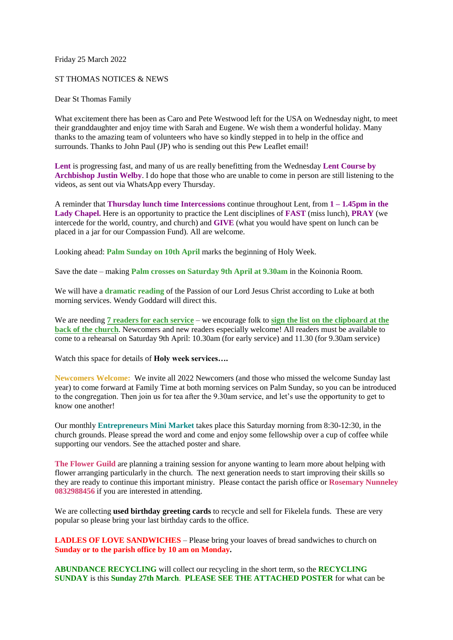Friday 25 March 2022

## ST THOMAS NOTICES & NEWS

Dear St Thomas Family

What excitement there has been as Caro and Pete Westwood left for the USA on Wednesday night, to meet their granddaughter and enjoy time with Sarah and Eugene. We wish them a wonderful holiday. Many thanks to the amazing team of volunteers who have so kindly stepped in to help in the office and surrounds. Thanks to John Paul (JP) who is sending out this Pew Leaflet email!

**Lent** is progressing fast, and many of us are really benefitting from the Wednesday **Lent Course by Archbishop Justin Welby**. I do hope that those who are unable to come in person are still listening to the videos, as sent out via WhatsApp every Thursday.

A reminder that **Thursday lunch time Intercessions** continue throughout Lent, from **1 – 1.45pm in the Lady Chapel.** Here is an opportunity to practice the Lent disciplines of **FAST** (miss lunch), **PRAY** (we intercede for the world, country, and church) and **GIVE** (what you would have spent on lunch can be placed in a jar for our Compassion Fund). All are welcome.

Looking ahead: **Palm Sunday on 10th April** marks the beginning of Holy Week.

Save the date – making **Palm crosses on Saturday 9th April at 9.30am** in the Koinonia Room.

We will have a **dramatic reading** of the Passion of our Lord Jesus Christ according to Luke at both morning services. Wendy Goddard will direct this.

We are needing **7 readers for each service** – we encourage folk to **sign the list on the clipboard at the back of the church**. Newcomers and new readers especially welcome! All readers must be available to come to a rehearsal on Saturday 9th April: 10.30am (for early service) and 11.30 (for 9.30am service)

Watch this space for details of **Holy week services….**

**Newcomers Welcome:** We invite all 2022 Newcomers (and those who missed the welcome Sunday last year) to come forward at Family Time at both morning services on Palm Sunday, so you can be introduced to the congregation. Then join us for tea after the 9.30am service, and let's use the opportunity to get to know one another!

Our monthly **Entrepreneurs Mini Market** takes place this Saturday morning from 8:30-12:30, in the church grounds. Please spread the word and come and enjoy some fellowship over a cup of coffee while supporting our vendors. See the attached poster and share.

**The Flower Guild** are planning a training session for anyone wanting to learn more about helping with flower arranging particularly in the church. The next generation needs to start improving their skills so they are ready to continue this important ministry. Please contact the parish office or **Rosemary Nunneley 0832988456** if you are interested in attending.

We are collecting **used birthday greeting cards** to recycle and sell for Fikelela funds. These are very popular so please bring your last birthday cards to the office.

**LADLES OF LOVE SANDWICHES** – Please bring your loaves of bread sandwiches to church on **Sunday or to the parish office by 10 am on Monday.**

**ABUNDANCE RECYCLING** will collect our recycling in the short term, so the **RECYCLING SUNDAY** is this **Sunday 27th March**. **PLEASE SEE THE ATTACHED POSTER** for what can be